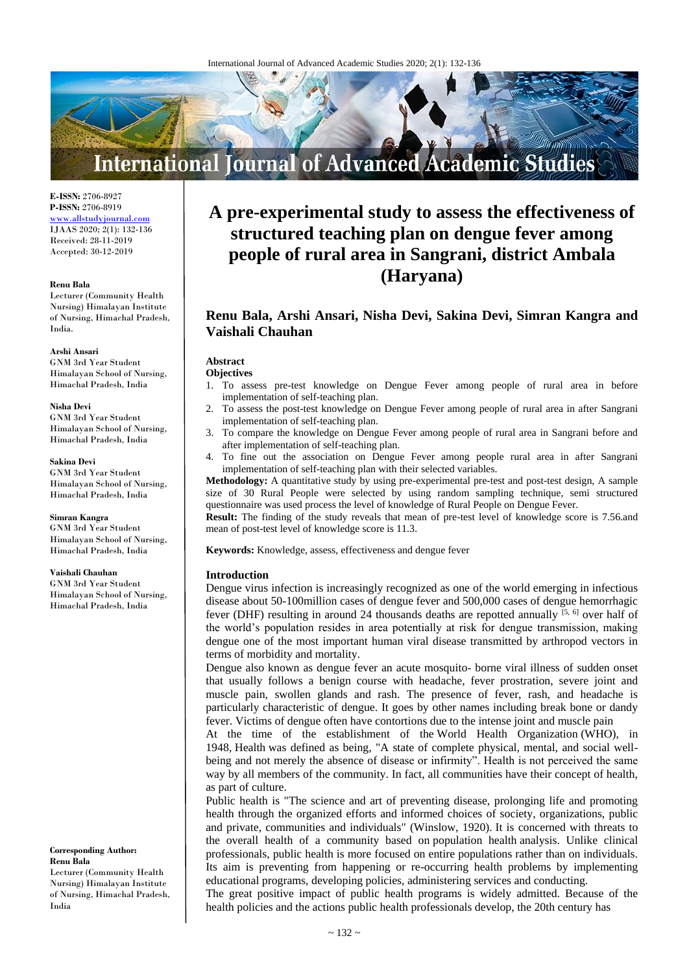

**E-ISSN:** 2706-8927 **P-ISSN:** 2706-8919 [www.allstudyjournal.com](http://www.allstudyjournal.com/) IJAAS 2020; 2(1): 132-136 Received: 28-11-2019 Accepted: 30-12-2019

#### **Renu Bala**

Lecturer (Community Health Nursing) Himalayan Institute of Nursing, Himachal Pradesh, India.

**Arshi Ansari** GNM 3rd Year Student Himalayan School of Nursing, Himachal Pradesh, India

#### **Nisha Devi**

GNM 3rd Year Student Himalayan School of Nursing, Himachal Pradesh, India

**Sakina Devi**

GNM 3rd Year Student Himalayan School of Nursing, Himachal Pradesh, India

**Simran Kangra** GNM 3rd Year Student Himalayan School of Nursing, Himachal Pradesh, India

#### **Vaishali Chauhan**

GNM 3rd Year Student Himalayan School of Nursing, Himachal Pradesh, India

#### **Corresponding Author: Renu Bala**

Lecturer (Community Health Nursing) Himalayan Institute of Nursing, Himachal Pradesh, India

# **A pre-experimental study to assess the effectiveness of structured teaching plan on dengue fever among people of rural area in Sangrani, district Ambala (Haryana)**

# **Renu Bala, Arshi Ansari, Nisha Devi, Sakina Devi, Simran Kangra and Vaishali Chauhan**

## **Abstract**

#### **Objectives**

- 1. To assess pre-test knowledge on Dengue Fever among people of rural area in before implementation of self-teaching plan.
- 2. To assess the post-test knowledge on Dengue Fever among people of rural area in after Sangrani implementation of self-teaching plan.
- 3. To compare the knowledge on Dengue Fever among people of rural area in Sangrani before and after implementation of self-teaching plan.
- 4. To fine out the association on Dengue Fever among people rural area in after Sangrani implementation of self-teaching plan with their selected variables.

**Methodology:** A quantitative study by using pre-experimental pre-test and post-test design, A sample size of 30 Rural People were selected by using random sampling technique, semi structured questionnaire was used process the level of knowledge of Rural People on Dengue Fever.

**Result:** The finding of the study reveals that mean of pre-test level of knowledge score is 7.56.and mean of post-test level of knowledge score is 11.3.

**Keywords:** Knowledge, assess, effectiveness and dengue fever

#### **Introduction**

Dengue virus infection is increasingly recognized as one of the world emerging in infectious disease about 50-100million cases of dengue fever and 500,000 cases of dengue hemorrhagic fever (DHF) resulting in around 24 thousands deaths are repotted annually  $[5, 6]$  over half of the world's population resides in area potentially at risk for dengue transmission, making dengue one of the most important human viral disease transmitted by arthropod vectors in terms of morbidity and mortality.

Dengue also known as dengue fever an acute mosquito- borne viral illness of sudden onset that usually follows a benign course with headache, fever prostration, severe joint and muscle pain, swollen glands and rash. The presence of fever, rash, and headache is particularly characteristic of dengue. It goes by other names including break bone or dandy fever. Victims of dengue often have contortions due to the intense joint and muscle pain

At the time of the establishment of the World Health Organization (WHO), in 1948, Health was defined as being, "A state of complete physical, mental, and social wellbeing and not merely the absence of disease or infirmity". Health is not perceived the same way by all members of the community. In fact, all communities have their concept of health, as part of culture.

Public health is "The science and art of preventing disease, prolonging life and promoting health through the organized efforts and informed choices of society, organizations, public and private, communities and individuals" (Winslow, 1920). It is concerned with threats to the overall health of a community based on population health analysis. Unlike clinical professionals, public health is more focused on entire populations rather than on individuals. Its aim is preventing from happening or re-occurring health problems by implementing educational programs, developing policies, administering services and conducting.

The great positive impact of public health programs is widely admitted. Because of the health policies and the actions public health professionals develop, the 20th century has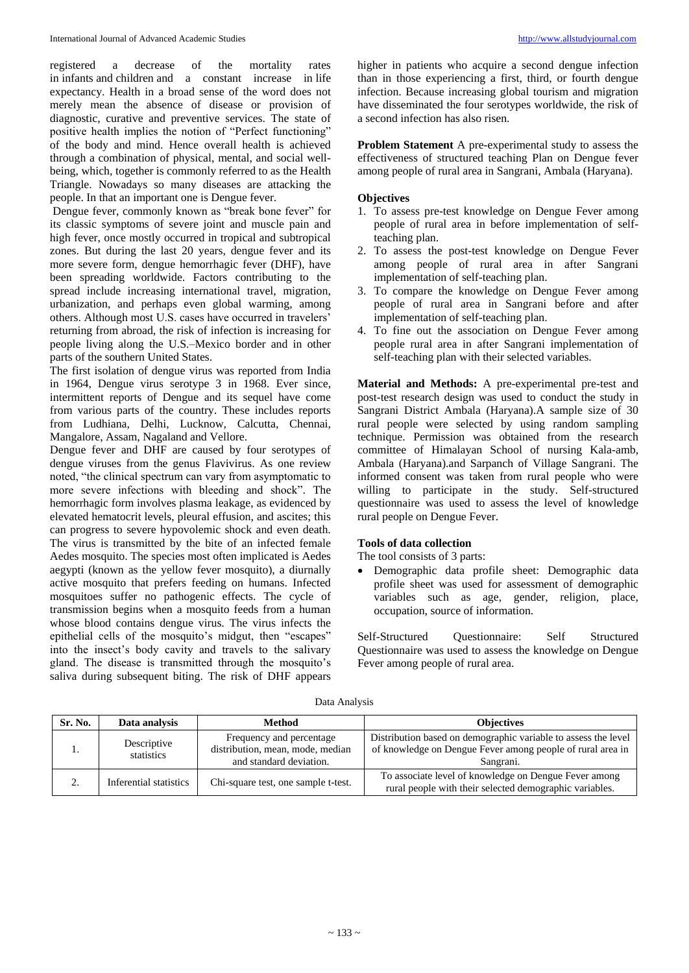registered a decrease of the mortality rates in infants and children and a constant increase in life expectancy. Health in a broad sense of the word does not merely mean the absence of disease or provision of diagnostic, curative and preventive services. The state of positive health implies the notion of "Perfect functioning" of the body and mind. Hence overall health is achieved through a combination of physical, mental, and social wellbeing, which, together is commonly referred to as the Health Triangle. Nowadays so many diseases are attacking the people. In that an important one is Dengue fever.

Dengue fever, commonly known as "break bone fever" for its classic symptoms of severe joint and muscle pain and high fever, once mostly occurred in tropical and subtropical zones. But during the last 20 years, dengue fever and its more severe form, dengue hemorrhagic fever (DHF), have been spreading worldwide. Factors contributing to the spread include increasing international travel, migration, urbanization, and perhaps even global warming, among others. Although most U.S. cases have occurred in travelers' returning from abroad, the risk of infection is increasing for people living along the U.S.–Mexico border and in other parts of the southern United States.

The first isolation of dengue virus was reported from India in 1964, Dengue virus serotype 3 in 1968. Ever since, intermittent reports of Dengue and its sequel have come from various parts of the country. These includes reports from Ludhiana, Delhi, Lucknow, Calcutta, Chennai, Mangalore, Assam, Nagaland and Vellore.

Dengue fever and DHF are caused by four serotypes of dengue viruses from the genus Flavivirus. As one review noted, "the clinical spectrum can vary from asymptomatic to more severe infections with bleeding and shock". The hemorrhagic form involves plasma leakage, as evidenced by elevated hematocrit levels, pleural effusion, and ascites; this can progress to severe hypovolemic shock and even death. The virus is transmitted by the bite of an infected female Aedes mosquito. The species most often implicated is Aedes aegypti (known as the yellow fever mosquito), a diurnally active mosquito that prefers feeding on humans. Infected mosquitoes suffer no pathogenic effects. The cycle of transmission begins when a mosquito feeds from a human whose blood contains dengue virus. The virus infects the epithelial cells of the mosquito's midgut, then "escapes" into the insect's body cavity and travels to the salivary gland. The disease is transmitted through the mosquito's saliva during subsequent biting. The risk of DHF appears

higher in patients who acquire a second dengue infection than in those experiencing a first, third, or fourth dengue infection. Because increasing global tourism and migration have disseminated the four serotypes worldwide, the risk of a second infection has also risen.

**Problem Statement** A pre-experimental study to assess the effectiveness of structured teaching Plan on Dengue fever among people of rural area in Sangrani, Ambala (Haryana).

#### **Objectives**

- 1. To assess pre-test knowledge on Dengue Fever among people of rural area in before implementation of selfteaching plan.
- 2. To assess the post-test knowledge on Dengue Fever among people of rural area in after Sangrani implementation of self-teaching plan.
- 3. To compare the knowledge on Dengue Fever among people of rural area in Sangrani before and after implementation of self-teaching plan.
- 4. To fine out the association on Dengue Fever among people rural area in after Sangrani implementation of self-teaching plan with their selected variables.

**Material and Methods:** A pre-experimental pre-test and post-test research design was used to conduct the study in Sangrani District Ambala (Haryana).A sample size of 30 rural people were selected by using random sampling technique. Permission was obtained from the research committee of Himalayan School of nursing Kala-amb, Ambala (Haryana).and Sarpanch of Village Sangrani. The informed consent was taken from rural people who were willing to participate in the study. Self-structured questionnaire was used to assess the level of knowledge rural people on Dengue Fever.

## **Tools of data collection**

The tool consists of 3 parts:

 Demographic data profile sheet: Demographic data profile sheet was used for assessment of demographic variables such as age, gender, religion, place, occupation, source of information.

Self-Structured Questionnaire: Self Structured Questionnaire was used to assess the knowledge on Dengue Fever among people of rural area.

| Sr. No. | Data analysis             | Method                                                                                  | <b>Objectives</b>                                                                                                                         |
|---------|---------------------------|-----------------------------------------------------------------------------------------|-------------------------------------------------------------------------------------------------------------------------------------------|
|         | Descriptive<br>statistics | Frequency and percentage<br>distribution, mean, mode, median<br>and standard deviation. | Distribution based on demographic variable to assess the level<br>of knowledge on Dengue Fever among people of rural area in<br>Sangrani. |
|         | Inferential statistics    | Chi-square test, one sample t-test.                                                     | To associate level of knowledge on Dengue Fever among<br>rural people with their selected demographic variables.                          |

Data Analysis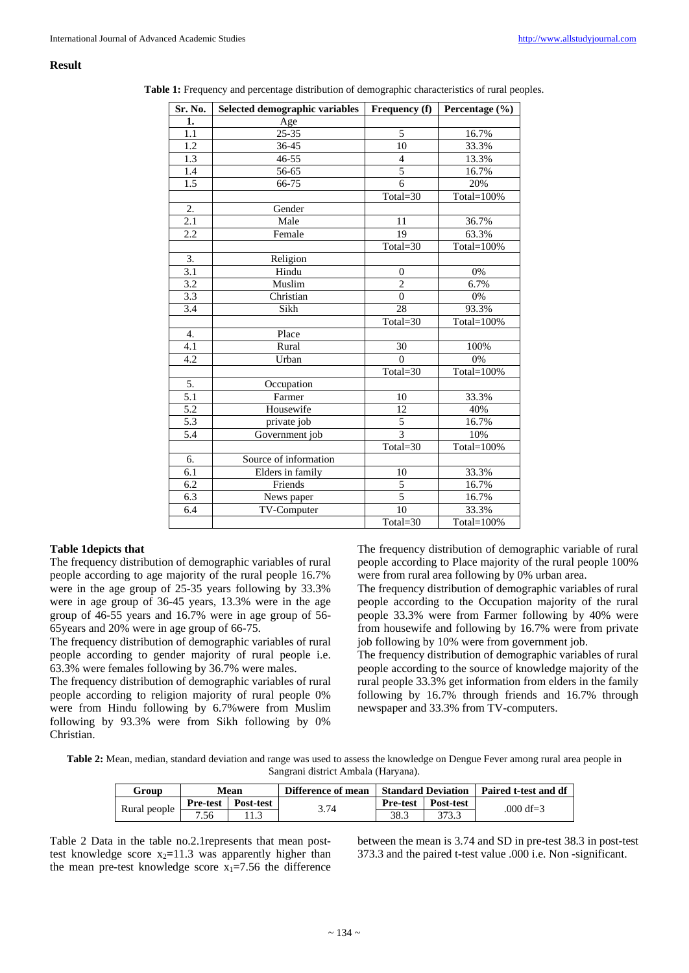#### **Result**

|  | <b>Table 1:</b> Frequency and percentage distribution of demographic characteristics of rural peoples. |
|--|--------------------------------------------------------------------------------------------------------|
|  |                                                                                                        |

| Sr. No.          | Selected demographic variables | <b>Frequency</b> (f) | Percentage (%) |
|------------------|--------------------------------|----------------------|----------------|
| 1.               | Age                            |                      |                |
| 1.1              | $25 - 35$                      | 5                    | 16.7%          |
| $\overline{1.2}$ | 36-45                          | 10                   | 33.3%          |
| 1.3              | 46-55                          | 4                    | 13.3%          |
| 1.4              | 56-65                          | $\overline{5}$       | 16.7%          |
| 1.5              | 66-75                          | $\overline{6}$       | 20%            |
|                  |                                | Total=30             | Total=100%     |
| $\overline{2}$ . | Gender                         |                      |                |
| 2.1              | Male                           | 11                   | 36.7%          |
| 2.2              | Female                         | 19                   | 63.3%          |
|                  |                                | Total=30             | Total=100%     |
| 3.               | Religion                       |                      |                |
| 3.1              | Hindu                          | $\boldsymbol{0}$     | 0%             |
| 3.2              | Muslim                         | $\overline{2}$       | 6.7%           |
| 3.3              | Christian                      | $\overline{0}$       | 0%             |
| $\overline{3.4}$ | Sikh                           | 28                   | 93.3%          |
|                  |                                | Total=30             | Total=100%     |
| $\overline{4}$ . | Place                          |                      |                |
| 4.1              | Rural                          | $\overline{30}$      | 100%           |
| 4.2              | Urban                          | $\Omega$             | 0%             |
|                  |                                | Total=30             | Total=100%     |
| 5.               | Occupation                     |                      |                |
| $\overline{5.1}$ | Farmer                         | 10                   | 33.3%          |
| 5.2              | Housewife                      | 12                   | 40%            |
| 5.3              | private job                    | 5                    | 16.7%          |
| 5.4              | Government job                 | $\overline{3}$       | 10%            |
|                  |                                | Total=30             | Total=100%     |
| 6.               | Source of information          |                      |                |
| 6.1              | Elders in family               | 10                   | 33.3%          |
| 6.2              | Friends                        | 5                    | 16.7%          |
| 6.3              | News paper                     | 5                    | 16.7%          |
| 6.4              | TV-Computer                    | 10                   | 33.3%          |
|                  |                                | Total=30             | Total=100%     |

#### **Table 1depicts that**

The frequency distribution of demographic variables of rural people according to age majority of the rural people 16.7% were in the age group of 25-35 years following by 33.3% were in age group of 36-45 years, 13.3% were in the age group of 46-55 years and 16.7% were in age group of 56- 65years and 20% were in age group of 66-75.

The frequency distribution of demographic variables of rural people according to gender majority of rural people i.e. 63.3% were females following by 36.7% were males.

The frequency distribution of demographic variables of rural people according to religion majority of rural people 0% were from Hindu following by 6.7%were from Muslim following by 93.3% were from Sikh following by 0% Christian.

The frequency distribution of demographic variable of rural people according to Place majority of the rural people 100% were from rural area following by 0% urban area.

The frequency distribution of demographic variables of rural people according to the Occupation majority of the rural people 33.3% were from Farmer following by 40% were from housewife and following by 16.7% were from private job following by 10% were from government job.

The frequency distribution of demographic variables of rural people according to the source of knowledge majority of the rural people 33.3% get information from elders in the family following by 16.7% through friends and 16.7% through newspaper and 33.3% from TV-computers.

**Table 2:** Mean, median, standard deviation and range was used to assess the knowledge on Dengue Fever among rural area people in Sangrani district Ambala (Haryana).

| Group        | <b>Mean</b>     |           | Difference of mean | <b>Standard Deviation</b> |           | Paired t-test and df |
|--------------|-----------------|-----------|--------------------|---------------------------|-----------|----------------------|
| Rural people | <b>Pre-test</b> | Post-test | 3.74               | <b>Pre-test</b>           | Post-test | .000 df=3            |
|              | 7.56            |           |                    | 38.3                      | 373.3     |                      |

Table 2 Data in the table no.2.1represents that mean posttest knowledge score  $x_2=11.3$  was apparently higher than the mean pre-test knowledge score  $x_1=7.56$  the difference

between the mean is 3.74 and SD in pre-test 38.3 in post-test 373.3 and the paired t-test value .000 i.e. Non -significant.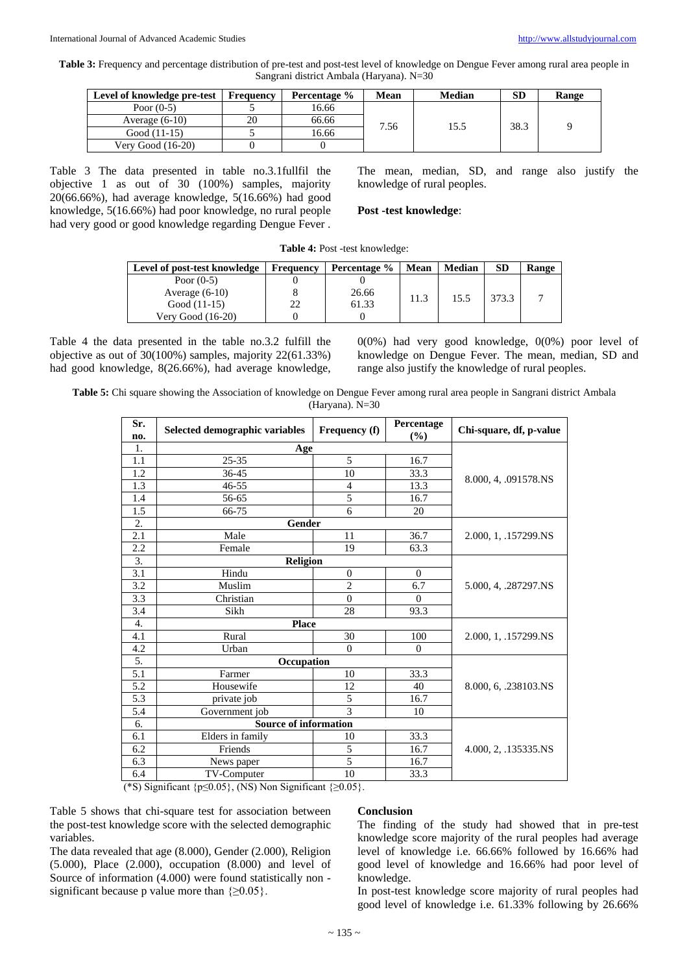**Table 3:** Frequency and percentage distribution of pre-test and post-test level of knowledge on Dengue Fever among rural area people in Sangrani district Ambala (Haryana). N=30

| Level of knowledge pre-test | Frequency | <b>Percentage</b> % | Mean | <b>Median</b> | <b>SD</b> | Range |
|-----------------------------|-----------|---------------------|------|---------------|-----------|-------|
| Poor $(0-5)$                |           | 16.66               |      |               | 38.3      |       |
| Average $(6-10)$            | 20        | 66.66               | 7.56 | 15.5          |           |       |
| Good (11-15)                |           | 16.66               |      |               |           |       |
| <b>Verv Good</b> (16-20)    |           |                     |      |               |           |       |

Table 3 The data presented in table no.3.1fullfil the objective 1 as out of 30 (100%) samples, majority 20(66.66%), had average knowledge, 5(16.66%) had good knowledge, 5(16.66%) had poor knowledge, no rural people had very good or good knowledge regarding Dengue Fever .

The mean, median, SD, and range also justify the knowledge of rural peoples.

#### **Post -test knowledge**:

| Table 4: Post -test knowledge: |  |  |  |  |  |
|--------------------------------|--|--|--|--|--|
|--------------------------------|--|--|--|--|--|

| Level of post-test knowledge | <b>Frequency</b> | Percentage % | <b>Mean</b> | <b>Median</b> | <b>SD</b> | Range |
|------------------------------|------------------|--------------|-------------|---------------|-----------|-------|
| Poor $(0-5)$                 |                  |              |             |               |           |       |
| Average $(6-10)$             |                  | 26.66        |             | 15.5          | 373.3     |       |
| Good $(11-15)$               | 22               | 61.33        | 11.3        |               |           |       |
| Very Good (16-20)            |                  |              |             |               |           |       |

Table 4 the data presented in the table no.3.2 fulfill the objective as out of 30(100%) samples, majority 22(61.33%) had good knowledge, 8(26.66%), had average knowledge, 0(0%) had very good knowledge, 0(0%) poor level of knowledge on Dengue Fever. The mean, median, SD and range also justify the knowledge of rural peoples.

**Table 5:** Chi square showing the Association of knowledge on Dengue Fever among rural area people in Sangrani district Ambala (Haryana). N=30

| Sr.<br>no.       | Selected demographic variables | Frequency (f)    | Percentage<br>$(\%)$ | Chi-square, df, p-value |
|------------------|--------------------------------|------------------|----------------------|-------------------------|
| 1.               | Age                            |                  |                      |                         |
| 1.1              | $25 - 35$                      | 5                | 16.7                 |                         |
| 1.2              | 36-45                          | 10               | 33.3                 | 8.000, 4, .091578.NS    |
| 1.3              | $46 - 55$                      | 4                | 13.3                 |                         |
| 1.4              | 56-65                          | 5                | 16.7                 |                         |
| 1.5              | 66-75                          | 6                | 20                   |                         |
| 2.               | <b>Gender</b>                  |                  |                      |                         |
| 2.1              | Male                           | 11               | 36.7                 | 2.000, 1, .157299.NS    |
| 2.2              | Female                         | 19               | 63.3                 |                         |
| 3.               | <b>Religion</b>                |                  |                      |                         |
| 3.1              | Hindu                          | $\boldsymbol{0}$ | $\mathbf{0}$         |                         |
| $\overline{3.2}$ | Muslim                         | $\overline{2}$   | 6.7                  | 5.000, 4, .287297.NS    |
| 3.3              | Christian                      | $\theta$         | $\Omega$             |                         |
| 3.4              | Sikh                           | 28               | 93.3                 |                         |
| 4.               | <b>Place</b>                   |                  |                      |                         |
| 4.1              | Rural                          | 30               | 100                  | 2.000, 1, .157299.NS    |
| 4.2              | Urban                          | $\Omega$         | $\mathbf{0}$         |                         |
| 5.               | Occupation                     |                  |                      |                         |
| 5.1              | Farmer                         | 10               | 33.3                 |                         |
| 5.2              | Housewife                      | 12               | 40                   | 8.000, 6, .238103.NS    |
| 5.3              | private job                    | 5                | 16.7                 |                         |
| 5.4              | Government job                 | $\overline{3}$   | 10                   |                         |
| 6.               | Source of information          |                  |                      |                         |
| 6.1              | Elders in family               | 10               | 33.3                 |                         |
| 6.2              | Friends                        | 5                | 16.7                 | 4.000, 2, .135335.NS    |
| 6.3              | News paper                     | 5                | 16.7                 |                         |
| 6.4              | TV-Computer                    | 10               | 33.3                 |                         |

(\*S) Significant  ${p≤0.05}$ , (NS) Non Significant  ${≥0.05}$ .

Table 5 shows that chi-square test for association between the post-test knowledge score with the selected demographic variables.

The data revealed that age (8.000), Gender (2.000), Religion (5.000), Place (2.000), occupation (8.000) and level of Source of information (4.000) were found statistically non significant because p value more than  $\{\geq 0.05\}$ .

#### **Conclusion**

The finding of the study had showed that in pre-test knowledge score majority of the rural peoples had average level of knowledge i.e. 66.66% followed by 16.66% had good level of knowledge and 16.66% had poor level of knowledge.

In post-test knowledge score majority of rural peoples had good level of knowledge i.e. 61.33% following by 26.66%